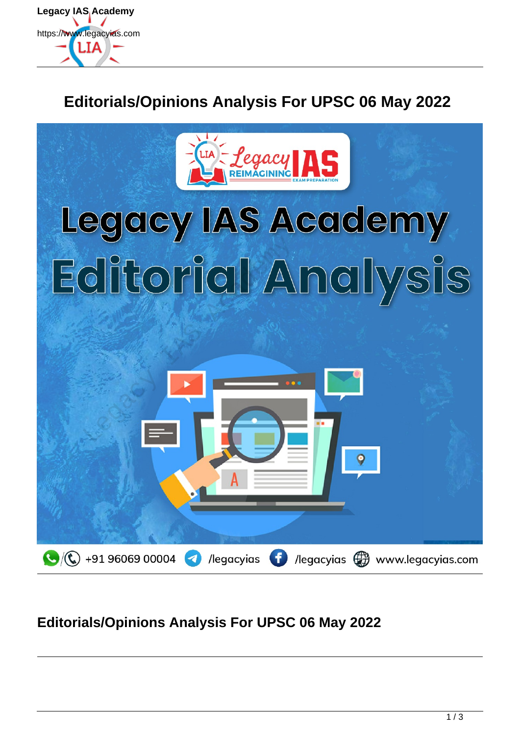

# **Editorials/Opinions Analysis For UPSC 06 May 2022**



# **Editorials/Opinions Analysis For UPSC 06 May 2022**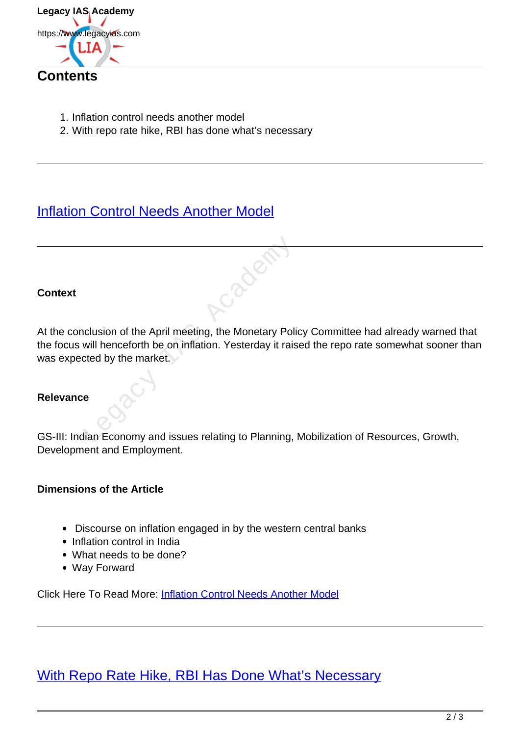

- 1. Inflation control needs another model
- 2. With repo rate hike, RBI has done what's necessary

# [Inflation Control Needs Another Model](https://www.legacyias.com/inflation-control-needs-another-model/)

### **Context**

At the conclusion of the April meeting, the Monetary Policy Committee had already warned that the focus will henceforth be on inflation. Yesterday it raised the repo rate somewhat sooner than was expected by the market. Experience of the April meeting, the Monetary Policial Interaction of the April meeting, the Monetary Policial Interactions of the market.

## **Relevance**

GS-III: Indian Economy and issues relating to Planning, Mobilization of Resources, Growth, Development and Employment.

#### **Dimensions of the Article**

- Discourse on inflation engaged in by the western central banks
- Inflation control in India
- What needs to be done?
- Way Forward

Click Here To Read More: Inflation Control Needs Another Model

With Repo Rate Hike, RBI Has Done What's Necessary